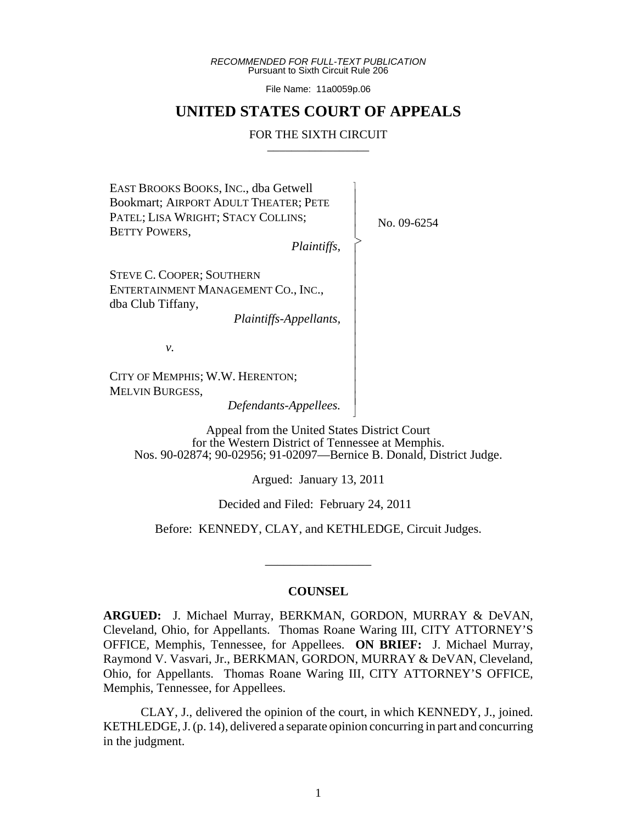*RECOMMENDED FOR FULL-TEXT PUBLICATION* Pursuant to Sixth Circuit Rule 206

File Name: 11a0059p.06

## **UNITED STATES COURT OF APPEALS**

#### FOR THE SIXTH CIRCUIT

 $\overline{\phantom{a}}$ - - - > , - - - - - - - - - - - - - N

EAST BROOKS BOOKS, INC., dba Getwell Bookmart; AIRPORT ADULT THEATER; PETE PATEL; LISA WRIGHT; STACY COLLINS; BETTY POWERS,

No. 09-6254

*Plaintiffs*,

STEVE C. COOPER; SOUTHERN ENTERTAINMENT MANAGEMENT CO., INC., dba Club Tiffany,

*Plaintiffs-Appellants,*

*v.*

CITY OF MEMPHIS; W.W. HERENTON; MELVIN BURGESS,

*Defendants-Appellees.*

Appeal from the United States District Court for the Western District of Tennessee at Memphis. Nos. 90-02874; 90-02956; 91-02097—Bernice B. Donald, District Judge.

Argued: January 13, 2011

Decided and Filed: February 24, 2011

Before: KENNEDY, CLAY, and KETHLEDGE, Circuit Judges.

\_\_\_\_\_\_\_\_\_\_\_\_\_\_\_\_\_

#### **COUNSEL**

**ARGUED:** J. Michael Murray, BERKMAN, GORDON, MURRAY & DeVAN, Cleveland, Ohio, for Appellants. Thomas Roane Waring III, CITY ATTORNEY'S OFFICE, Memphis, Tennessee, for Appellees. **ON BRIEF:** J. Michael Murray, Raymond V. Vasvari, Jr., BERKMAN, GORDON, MURRAY & DeVAN, Cleveland, Ohio, for Appellants. Thomas Roane Waring III, CITY ATTORNEY'S OFFICE, Memphis, Tennessee, for Appellees.

CLAY, J., delivered the opinion of the court, in which KENNEDY, J., joined. KETHLEDGE, J. (p. 14), delivered a separate opinion concurring in part and concurring in the judgment.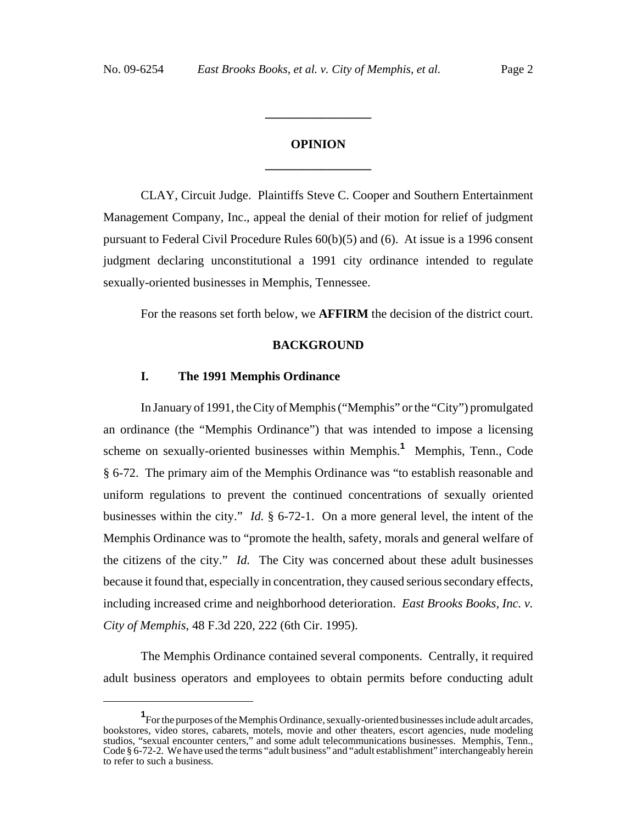# **OPINION \_\_\_\_\_\_\_\_\_\_\_\_\_\_\_\_\_**

**\_\_\_\_\_\_\_\_\_\_\_\_\_\_\_\_\_**

CLAY, Circuit Judge. Plaintiffs Steve C. Cooper and Southern Entertainment Management Company, Inc., appeal the denial of their motion for relief of judgment pursuant to Federal Civil Procedure Rules 60(b)(5) and (6). At issue is a 1996 consent judgment declaring unconstitutional a 1991 city ordinance intended to regulate sexually-oriented businesses in Memphis, Tennessee.

For the reasons set forth below, we **AFFIRM** the decision of the district court.

## **BACKGROUND**

#### **I. The 1991 Memphis Ordinance**

In January of 1991, the City of Memphis ("Memphis" or the "City") promulgated an ordinance (the "Memphis Ordinance") that was intended to impose a licensing scheme on sexually-oriented businesses within Memphis.**<sup>1</sup>** Memphis, Tenn., Code § 6-72. The primary aim of the Memphis Ordinance was "to establish reasonable and uniform regulations to prevent the continued concentrations of sexually oriented businesses within the city." *Id.* § 6-72-1. On a more general level, the intent of the Memphis Ordinance was to "promote the health, safety, morals and general welfare of the citizens of the city." *Id.* The City was concerned about these adult businesses because it found that, especially in concentration, they caused serious secondary effects, including increased crime and neighborhood deterioration. *East Brooks Books, Inc. v. City of Memphis*, 48 F.3d 220, 222 (6th Cir. 1995).

The Memphis Ordinance contained several components. Centrally, it required adult business operators and employees to obtain permits before conducting adult

<sup>&</sup>lt;sup>1</sup> For the purposes of the Memphis Ordinance, sexually-oriented businesses include adult arcades, bookstores, video stores, cabarets, motels, movie and other theaters, escort agencies, nude modeling studios, "sexual encounter centers," and some adult telecommunications businesses. Memphis, Tenn., Code § 6-72-2. We have used the terms "adult business" and "adult establishment" interchangeably herein to refer to such a business.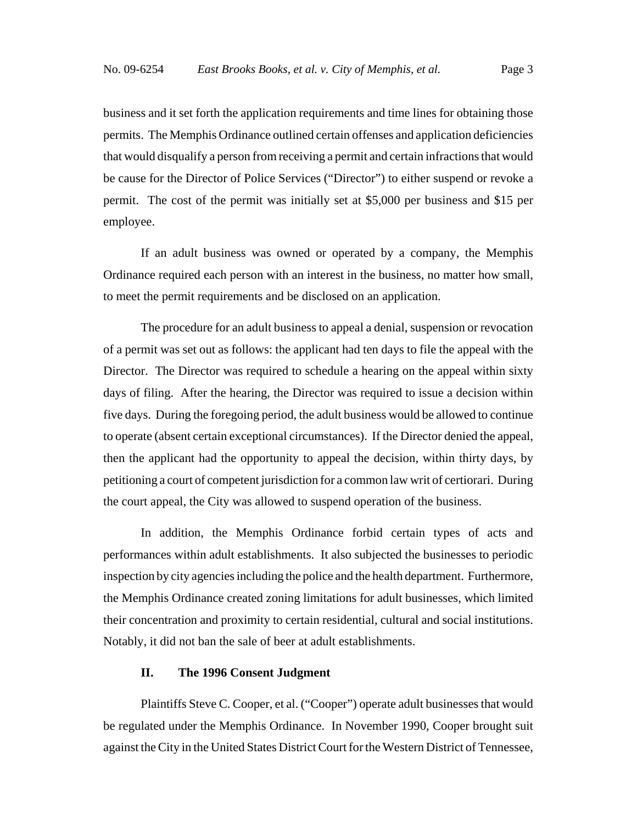business and it set forth the application requirements and time lines for obtaining those permits. The Memphis Ordinance outlined certain offenses and application deficiencies that would disqualify a person from receiving a permit and certain infractions that would be cause for the Director of Police Services ("Director") to either suspend or revoke a permit. The cost of the permit was initially set at \$5,000 per business and \$15 per employee.

If an adult business was owned or operated by a company, the Memphis Ordinance required each person with an interest in the business, no matter how small, to meet the permit requirements and be disclosed on an application.

The procedure for an adult business to appeal a denial, suspension or revocation of a permit was set out as follows: the applicant had ten days to file the appeal with the Director. The Director was required to schedule a hearing on the appeal within sixty days of filing. After the hearing, the Director was required to issue a decision within five days. During the foregoing period, the adult business would be allowed to continue to operate (absent certain exceptional circumstances). If the Director denied the appeal, then the applicant had the opportunity to appeal the decision, within thirty days, by petitioning a court of competent jurisdiction for a common law writ of certiorari. During the court appeal, the City was allowed to suspend operation of the business.

In addition, the Memphis Ordinance forbid certain types of acts and performances within adult establishments. It also subjected the businesses to periodic inspection by city agencies including the police and the health department. Furthermore, the Memphis Ordinance created zoning limitations for adult businesses, which limited their concentration and proximity to certain residential, cultural and social institutions. Notably, it did not ban the sale of beer at adult establishments.

## **II. The 1996 Consent Judgment**

Plaintiffs Steve C. Cooper, et al. ("Cooper") operate adult businesses that would be regulated under the Memphis Ordinance. In November 1990, Cooper brought suit against the City in the United States District Court for the Western District of Tennessee,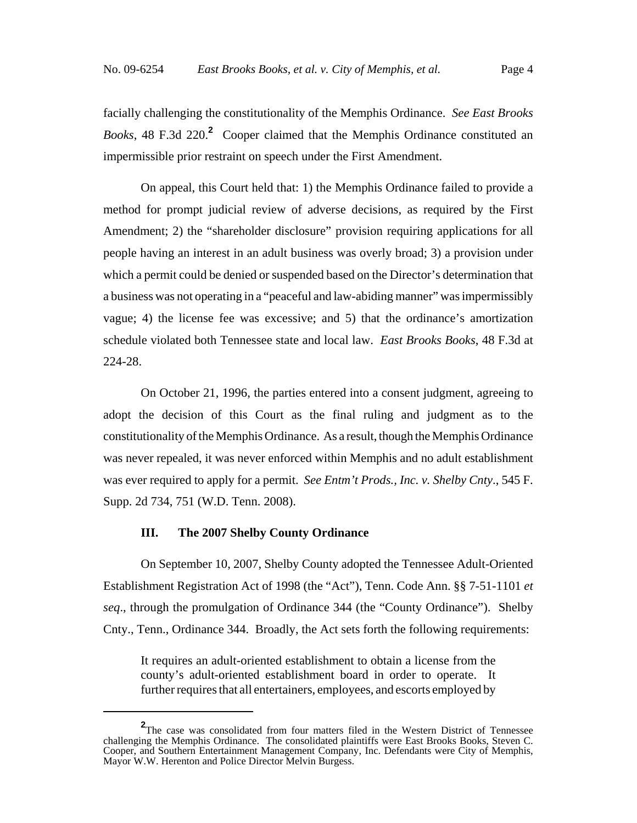facially challenging the constitutionality of the Memphis Ordinance. *See East Brooks Books*, 48 F.3d 220.**<sup>2</sup>** Cooper claimed that the Memphis Ordinance constituted an impermissible prior restraint on speech under the First Amendment.

On appeal, this Court held that: 1) the Memphis Ordinance failed to provide a method for prompt judicial review of adverse decisions, as required by the First Amendment; 2) the "shareholder disclosure" provision requiring applications for all people having an interest in an adult business was overly broad; 3) a provision under which a permit could be denied or suspended based on the Director's determination that a business was not operating in a "peaceful and law-abiding manner" was impermissibly vague; 4) the license fee was excessive; and 5) that the ordinance's amortization schedule violated both Tennessee state and local law. *East Brooks Books*, 48 F.3d at 224-28.

On October 21, 1996, the parties entered into a consent judgment, agreeing to adopt the decision of this Court as the final ruling and judgment as to the constitutionality of the Memphis Ordinance. As a result, though the Memphis Ordinance was never repealed, it was never enforced within Memphis and no adult establishment was ever required to apply for a permit. *See Entm't Prods., Inc. v. Shelby Cnty*., 545 F. Supp. 2d 734, 751 (W.D. Tenn. 2008).

#### **III. The 2007 Shelby County Ordinance**

On September 10, 2007, Shelby County adopted the Tennessee Adult-Oriented Establishment Registration Act of 1998 (the "Act"), Tenn. Code Ann. §§ 7-51-1101 *et seq*., through the promulgation of Ordinance 344 (the "County Ordinance"). Shelby Cnty., Tenn., Ordinance 344. Broadly, the Act sets forth the following requirements:

It requires an adult-oriented establishment to obtain a license from the county's adult-oriented establishment board in order to operate. It further requires that all entertainers, employees, and escorts employed by

**<sup>2</sup>** The case was consolidated from four matters filed in the Western District of Tennessee challenging the Memphis Ordinance. The consolidated plaintiffs were East Brooks Books, Steven C. Cooper, and Southern Entertainment Management Company, Inc. Defendants were City of Memphis, Mayor W.W. Herenton and Police Director Melvin Burgess.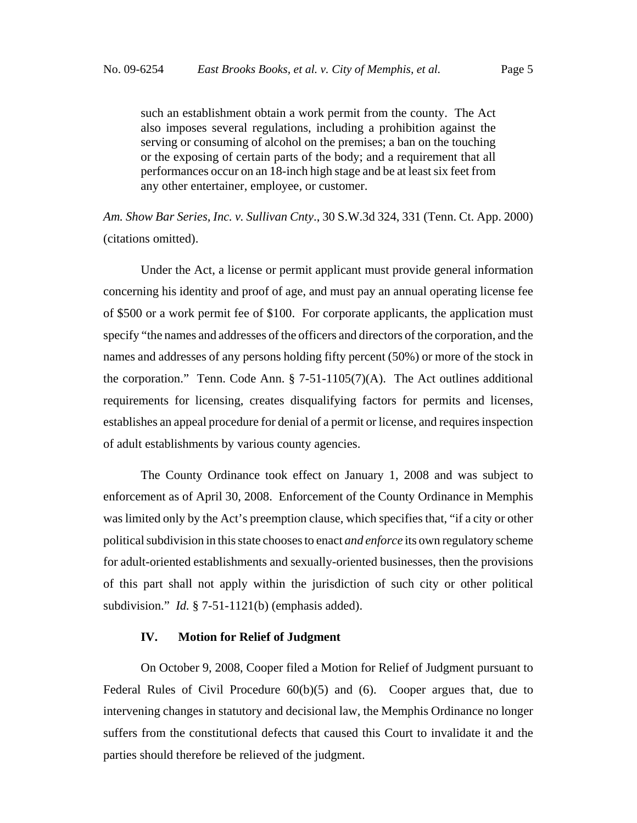such an establishment obtain a work permit from the county. The Act also imposes several regulations, including a prohibition against the serving or consuming of alcohol on the premises; a ban on the touching or the exposing of certain parts of the body; and a requirement that all performances occur on an 18-inch high stage and be at least six feet from any other entertainer, employee, or customer.

*Am. Show Bar Series, Inc. v. Sullivan Cnty*., 30 S.W.3d 324, 331 (Tenn. Ct. App. 2000) (citations omitted).

Under the Act, a license or permit applicant must provide general information concerning his identity and proof of age, and must pay an annual operating license fee of \$500 or a work permit fee of \$100. For corporate applicants, the application must specify "the names and addresses of the officers and directors of the corporation, and the names and addresses of any persons holding fifty percent (50%) or more of the stock in the corporation." Tenn. Code Ann.  $\S$  7-51-1105(7)(A). The Act outlines additional requirements for licensing, creates disqualifying factors for permits and licenses, establishes an appeal procedure for denial of a permit or license, and requires inspection of adult establishments by various county agencies.

The County Ordinance took effect on January 1, 2008 and was subject to enforcement as of April 30, 2008. Enforcement of the County Ordinance in Memphis was limited only by the Act's preemption clause, which specifies that, "if a city or other political subdivision in this state chooses to enact *and enforce* its own regulatory scheme for adult-oriented establishments and sexually-oriented businesses, then the provisions of this part shall not apply within the jurisdiction of such city or other political subdivision." *Id.* § 7-51-1121(b) (emphasis added).

## **IV. Motion for Relief of Judgment**

On October 9, 2008, Cooper filed a Motion for Relief of Judgment pursuant to Federal Rules of Civil Procedure  $60(b)(5)$  and  $(6)$ . Cooper argues that, due to intervening changes in statutory and decisional law, the Memphis Ordinance no longer suffers from the constitutional defects that caused this Court to invalidate it and the parties should therefore be relieved of the judgment.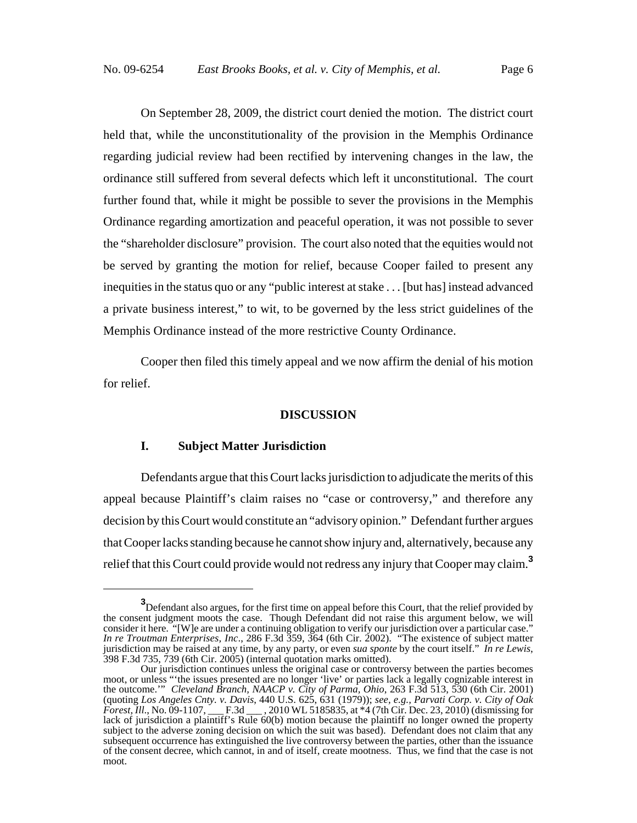On September 28, 2009, the district court denied the motion. The district court held that, while the unconstitutionality of the provision in the Memphis Ordinance regarding judicial review had been rectified by intervening changes in the law, the ordinance still suffered from several defects which left it unconstitutional. The court further found that, while it might be possible to sever the provisions in the Memphis Ordinance regarding amortization and peaceful operation, it was not possible to sever the "shareholder disclosure" provision. The court also noted that the equities would not be served by granting the motion for relief, because Cooper failed to present any inequities in the status quo or any "public interest at stake . . . [but has] instead advanced a private business interest," to wit, to be governed by the less strict guidelines of the Memphis Ordinance instead of the more restrictive County Ordinance.

Cooper then filed this timely appeal and we now affirm the denial of his motion for relief.

## **DISCUSSION**

#### **I. Subject Matter Jurisdiction**

Defendants argue that this Court lacks jurisdiction to adjudicate the merits of this appeal because Plaintiff's claim raises no "case or controversy," and therefore any decision by this Court would constitute an "advisory opinion." Defendant further argues that Cooper lacks standing because he cannot show injury and, alternatively, because any relief that this Court could provide would not redress any injury that Cooper may claim.**<sup>3</sup>**

**<sup>3</sup>** Defendant also argues, for the first time on appeal before this Court, that the relief provided by the consent judgment moots the case. Though Defendant did not raise this argument below, we will consider it here. "[W]e are under a continuing obligation to verify our jurisdiction over a particular case." *In re Troutman Enterprises, Inc*., 286 F.3d 359, 364 (6th Cir. 2002). "The existence of subject matter jurisdiction may be raised at any time, by any party, or even *sua sponte* by the court itself." *In re Lewis*, 398 F.3d 735, 739 (6th Cir. 2005) (internal quotation marks omitted).

Our jurisdiction continues unless the original case or controversy between the parties becomes moot, or unless "'the issues presented are no longer 'live' or parties lack a legally cognizable interest in the outcome.'" *Cleveland Branch, NAACP v. City of Parma, Ohio*, 263 F.3d 513, 530 (6th Cir. 2001) (quoting *Los Angeles Cnty. v. Davis*, 440 U.S. 625, 631 (1979)); *see, e.g., Parvati Corp. v. City of Oak Forest, Ill*., No. 09-1107, \_\_\_ F.3d \_\_\_ , 2010 WL 5185835, at \*4 (7th Cir. Dec. 23, 2010) (dismissing for lack of jurisdiction a plaintiff's Rule 60(b) motion because the plaintiff no longer owned the property subject to the adverse zoning decision on which the suit was based). Defendant does not claim that any subsequent occurrence has extinguished the live controversy between the parties, other than the issuance of the consent decree, which cannot, in and of itself, create mootness. Thus, we find that the case is not moot.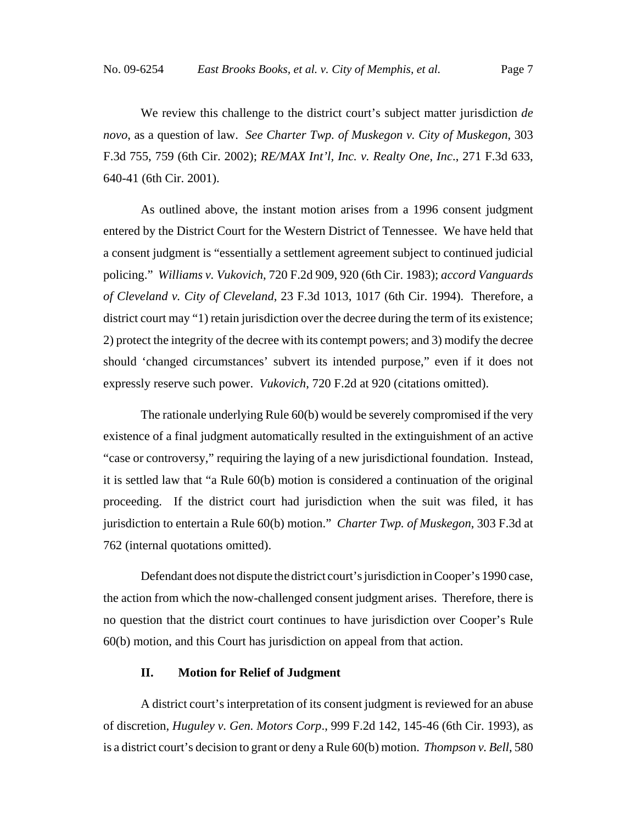We review this challenge to the district court's subject matter jurisdiction *de novo*, as a question of law. *See Charter Twp. of Muskegon v. City of Muskegon*, 303 F.3d 755, 759 (6th Cir. 2002); *RE/MAX Int'l, Inc. v. Realty One*, *Inc*., 271 F.3d 633, 640-41 (6th Cir. 2001).

As outlined above, the instant motion arises from a 1996 consent judgment entered by the District Court for the Western District of Tennessee. We have held that a consent judgment is "essentially a settlement agreement subject to continued judicial policing." *Williams v. Vukovich*, 720 F.2d 909, 920 (6th Cir. 1983); *accord Vanguards of Cleveland v. City of Cleveland*, 23 F.3d 1013, 1017 (6th Cir. 1994). Therefore, a district court may "1) retain jurisdiction over the decree during the term of its existence; 2) protect the integrity of the decree with its contempt powers; and 3) modify the decree should 'changed circumstances' subvert its intended purpose," even if it does not expressly reserve such power. *Vukovich*, 720 F.2d at 920 (citations omitted).

The rationale underlying Rule 60(b) would be severely compromised if the very existence of a final judgment automatically resulted in the extinguishment of an active "case or controversy," requiring the laying of a new jurisdictional foundation. Instead, it is settled law that "a Rule 60(b) motion is considered a continuation of the original proceeding. If the district court had jurisdiction when the suit was filed, it has jurisdiction to entertain a Rule 60(b) motion." *Charter Twp. of Muskegon*, 303 F.3d at 762 (internal quotations omitted).

Defendant does not dispute the district court's jurisdiction in Cooper's 1990 case, the action from which the now-challenged consent judgment arises. Therefore, there is no question that the district court continues to have jurisdiction over Cooper's Rule 60(b) motion, and this Court has jurisdiction on appeal from that action.

## **II. Motion for Relief of Judgment**

A district court's interpretation of its consent judgment is reviewed for an abuse of discretion, *Huguley v. Gen. Motors Corp*., 999 F.2d 142, 145-46 (6th Cir. 1993), as is a district court's decision to grant or deny a Rule 60(b) motion. *Thompson v. Bell*, 580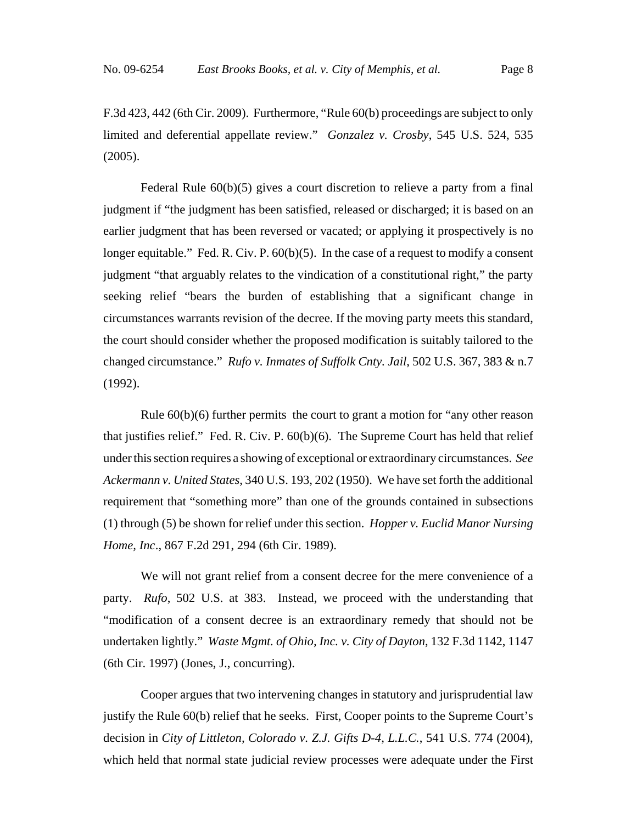F.3d 423, 442 (6th Cir. 2009). Furthermore, "Rule 60(b) proceedings are subject to only limited and deferential appellate review." *Gonzalez v. Crosby*, 545 U.S. 524, 535 (2005).

Federal Rule 60(b)(5) gives a court discretion to relieve a party from a final judgment if "the judgment has been satisfied, released or discharged; it is based on an earlier judgment that has been reversed or vacated; or applying it prospectively is no longer equitable." Fed. R. Civ. P. 60(b)(5). In the case of a request to modify a consent judgment "that arguably relates to the vindication of a constitutional right," the party seeking relief "bears the burden of establishing that a significant change in circumstances warrants revision of the decree. If the moving party meets this standard, the court should consider whether the proposed modification is suitably tailored to the changed circumstance." *Rufo v. Inmates of Suffolk Cnty. Jail*, 502 U.S. 367, 383 & n.7 (1992).

Rule  $60(b)(6)$  further permits the court to grant a motion for "any other reason" that justifies relief." Fed. R. Civ. P. 60(b)(6). The Supreme Court has held that relief under this section requires a showing of exceptional or extraordinary circumstances. *See Ackermann v. United States*, 340 U.S. 193, 202 (1950). We have set forth the additional requirement that "something more" than one of the grounds contained in subsections (1) through (5) be shown for relief under this section. *Hopper v. Euclid Manor Nursing Home, Inc*., 867 F.2d 291, 294 (6th Cir. 1989).

We will not grant relief from a consent decree for the mere convenience of a party. *Rufo*, 502 U.S. at 383. Instead, we proceed with the understanding that "modification of a consent decree is an extraordinary remedy that should not be undertaken lightly." *Waste Mgmt. of Ohio, Inc. v. City of Dayton*, 132 F.3d 1142, 1147 (6th Cir. 1997) (Jones, J., concurring).

Cooper argues that two intervening changes in statutory and jurisprudential law justify the Rule 60(b) relief that he seeks. First, Cooper points to the Supreme Court's decision in *City of Littleton, Colorado v. Z.J. Gifts D-4, L.L.C.*, 541 U.S. 774 (2004), which held that normal state judicial review processes were adequate under the First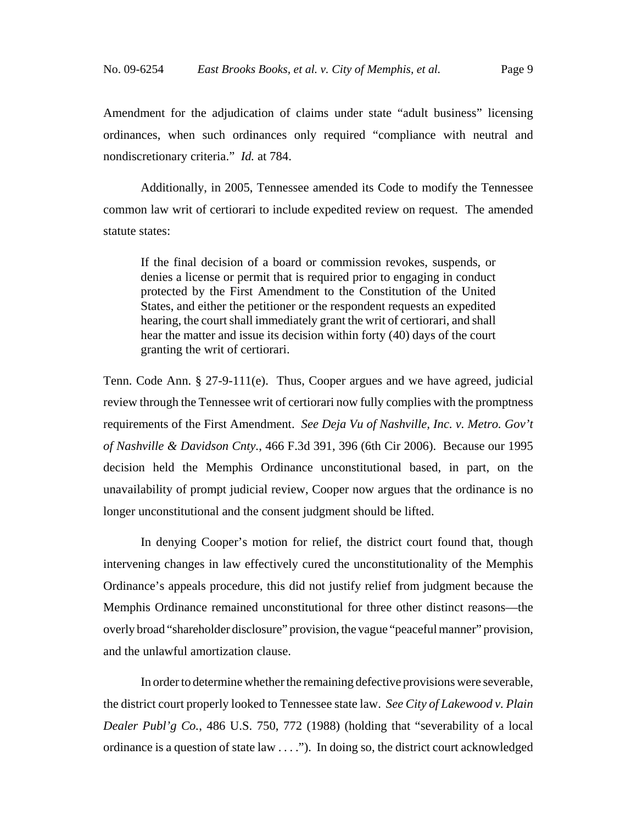Amendment for the adjudication of claims under state "adult business" licensing ordinances, when such ordinances only required "compliance with neutral and nondiscretionary criteria." *Id.* at 784.

Additionally, in 2005, Tennessee amended its Code to modify the Tennessee common law writ of certiorari to include expedited review on request. The amended statute states:

If the final decision of a board or commission revokes, suspends, or denies a license or permit that is required prior to engaging in conduct protected by the First Amendment to the Constitution of the United States, and either the petitioner or the respondent requests an expedited hearing, the court shall immediately grant the writ of certiorari, and shall hear the matter and issue its decision within forty (40) days of the court granting the writ of certiorari.

Tenn. Code Ann. § 27-9-111(e). Thus, Cooper argues and we have agreed, judicial review through the Tennessee writ of certiorari now fully complies with the promptness requirements of the First Amendment. *See Deja Vu of Nashville, Inc. v. Metro. Gov't of Nashville & Davidson Cnty.*, 466 F.3d 391, 396 (6th Cir 2006). Because our 1995 decision held the Memphis Ordinance unconstitutional based, in part, on the unavailability of prompt judicial review, Cooper now argues that the ordinance is no longer unconstitutional and the consent judgment should be lifted.

In denying Cooper's motion for relief, the district court found that, though intervening changes in law effectively cured the unconstitutionality of the Memphis Ordinance's appeals procedure, this did not justify relief from judgment because the Memphis Ordinance remained unconstitutional for three other distinct reasons—the overly broad "shareholder disclosure" provision, the vague "peaceful manner" provision, and the unlawful amortization clause.

In order to determine whether the remaining defective provisions were severable, the district court properly looked to Tennessee state law. *See City of Lakewood v. Plain Dealer Publ'g Co.*, 486 U.S. 750, 772 (1988) (holding that "severability of a local ordinance is a question of state law . . . ."). In doing so, the district court acknowledged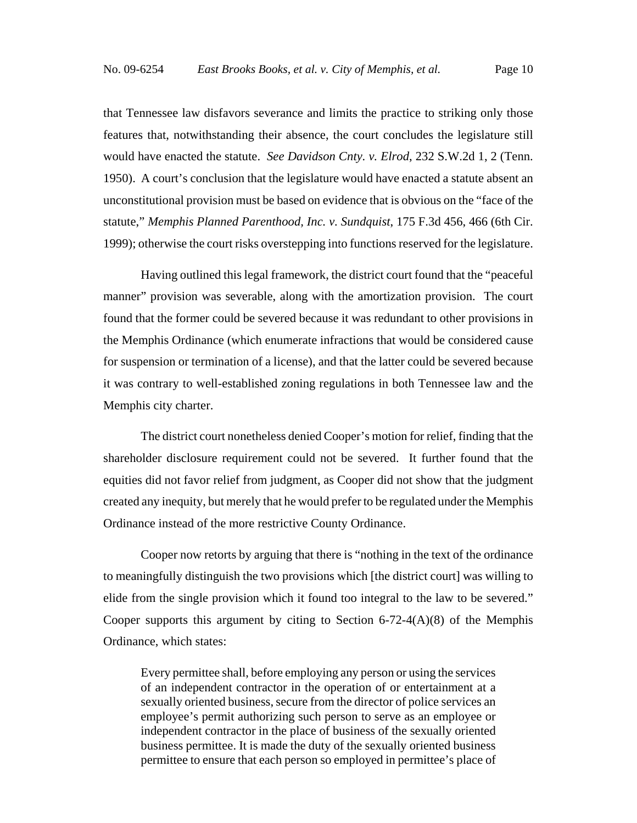that Tennessee law disfavors severance and limits the practice to striking only those features that, notwithstanding their absence, the court concludes the legislature still would have enacted the statute. *See Davidson Cnty. v. Elrod*, 232 S.W.2d 1, 2 (Tenn. 1950). A court's conclusion that the legislature would have enacted a statute absent an unconstitutional provision must be based on evidence that is obvious on the "face of the statute," *Memphis Planned Parenthood, Inc. v. Sundquist*, 175 F.3d 456, 466 (6th Cir. 1999); otherwise the court risks overstepping into functions reserved for the legislature.

Having outlined this legal framework, the district court found that the "peaceful manner" provision was severable, along with the amortization provision. The court found that the former could be severed because it was redundant to other provisions in the Memphis Ordinance (which enumerate infractions that would be considered cause for suspension or termination of a license), and that the latter could be severed because it was contrary to well-established zoning regulations in both Tennessee law and the Memphis city charter.

The district court nonetheless denied Cooper's motion for relief, finding that the shareholder disclosure requirement could not be severed. It further found that the equities did not favor relief from judgment, as Cooper did not show that the judgment created any inequity, but merely that he would prefer to be regulated under the Memphis Ordinance instead of the more restrictive County Ordinance.

Cooper now retorts by arguing that there is "nothing in the text of the ordinance to meaningfully distinguish the two provisions which [the district court] was willing to elide from the single provision which it found too integral to the law to be severed." Cooper supports this argument by citing to Section  $6-72-4(A)(8)$  of the Memphis Ordinance, which states:

Every permittee shall, before employing any person or using the services of an independent contractor in the operation of or entertainment at a sexually oriented business, secure from the director of police services an employee's permit authorizing such person to serve as an employee or independent contractor in the place of business of the sexually oriented business permittee. It is made the duty of the sexually oriented business permittee to ensure that each person so employed in permittee's place of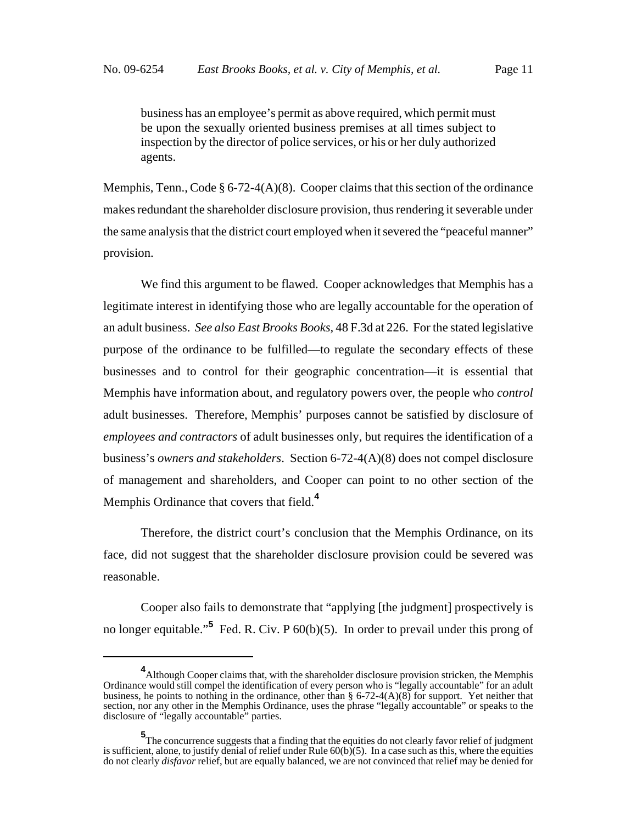business has an employee's permit as above required, which permit must be upon the sexually oriented business premises at all times subject to inspection by the director of police services, or his or her duly authorized agents.

Memphis, Tenn., Code  $\S 6-72-4(A)(8)$ . Cooper claims that this section of the ordinance makes redundant the shareholder disclosure provision, thus rendering it severable under the same analysis that the district court employed when it severed the "peaceful manner" provision.

We find this argument to be flawed. Cooper acknowledges that Memphis has a legitimate interest in identifying those who are legally accountable for the operation of an adult business. *See also East Brooks Books,* 48 F.3d at 226. For the stated legislative purpose of the ordinance to be fulfilled—to regulate the secondary effects of these businesses and to control for their geographic concentration—it is essential that Memphis have information about, and regulatory powers over, the people who *control* adult businesses. Therefore, Memphis' purposes cannot be satisfied by disclosure of *employees and contractors* of adult businesses only, but requires the identification of a business's *owners and stakeholders*. Section 6-72-4(A)(8) does not compel disclosure of management and shareholders, and Cooper can point to no other section of the Memphis Ordinance that covers that field.**<sup>4</sup>**

Therefore, the district court's conclusion that the Memphis Ordinance, on its face, did not suggest that the shareholder disclosure provision could be severed was reasonable.

Cooper also fails to demonstrate that "applying [the judgment] prospectively is no longer equitable."**<sup>5</sup>** Fed. R. Civ. P 60(b)(5). In order to prevail under this prong of

**<sup>4</sup>** Although Cooper claims that, with the shareholder disclosure provision stricken, the Memphis Ordinance would still compel the identification of every person who is "legally accountable" for an adult business, he points to nothing in the ordinance, other than  $\S 6-72-4(A)(8)$  for support. Yet neither that section, nor any other in the Memphis Ordinance, uses the phrase "legally accountable" or speaks to the disclosure of "legally accountable" parties.

**<sup>5</sup>** The concurrence suggests that a finding that the equities do not clearly favor relief of judgment is sufficient, alone, to justify denial of relief under Rule  $60(b)(5)$ . In a case such as this, where the equities do not clearly *disfavor* relief, but are equally balanced, we are not convinced that relief may be denied for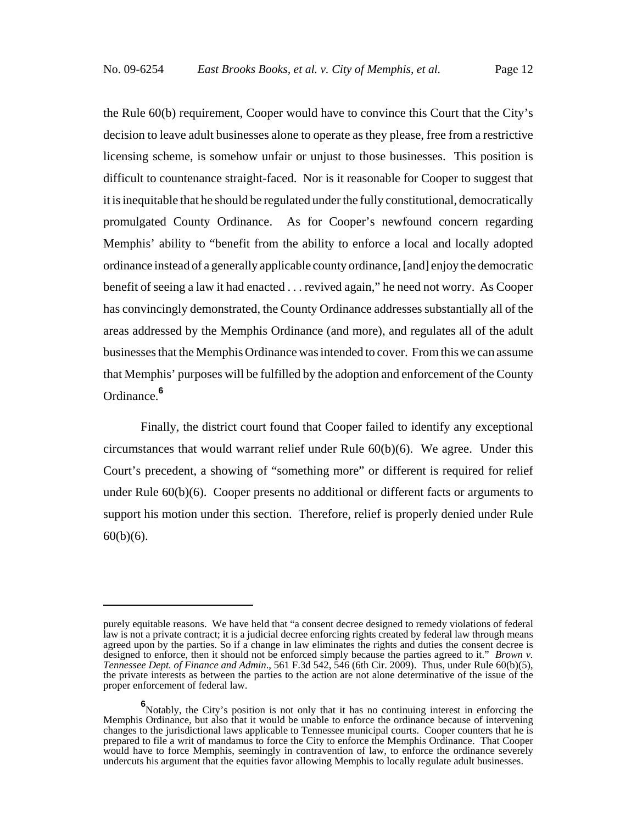the Rule 60(b) requirement, Cooper would have to convince this Court that the City's decision to leave adult businesses alone to operate as they please, free from a restrictive licensing scheme, is somehow unfair or unjust to those businesses. This position is difficult to countenance straight-faced. Nor is it reasonable for Cooper to suggest that it is inequitable that he should be regulated under the fully constitutional, democratically promulgated County Ordinance. As for Cooper's newfound concern regarding Memphis' ability to "benefit from the ability to enforce a local and locally adopted ordinance instead of a generally applicable county ordinance, [and] enjoy the democratic benefit of seeing a law it had enacted . . . revived again," he need not worry. As Cooper has convincingly demonstrated, the County Ordinance addresses substantially all of the areas addressed by the Memphis Ordinance (and more), and regulates all of the adult businesses that the Memphis Ordinance was intended to cover. From this we can assume that Memphis' purposes will be fulfilled by the adoption and enforcement of the County Ordinance.**<sup>6</sup>**

Finally, the district court found that Cooper failed to identify any exceptional circumstances that would warrant relief under Rule  $60(b)(6)$ . We agree. Under this Court's precedent, a showing of "something more" or different is required for relief under Rule 60(b)(6). Cooper presents no additional or different facts or arguments to support his motion under this section. Therefore, relief is properly denied under Rule  $60(b)(6)$ .

purely equitable reasons. We have held that "a consent decree designed to remedy violations of federal law is not a private contract; it is a judicial decree enforcing rights created by federal law through means agreed upon by the parties. So if a change in law eliminates the rights and duties the consent decree is designed to enforce, then it should not be enforced simply because the parties agreed to it." *Brown v. Tennessee Dept. of Finance and Admin*., 561 F.3d 542, 546 (6th Cir. 2009). Thus, under Rule 60(b)(5), the private interests as between the parties to the action are not alone determinative of the issue of the proper enforcement of federal law.

**<sup>6</sup>**<br>
Notably, the City's position is not only that it has no continuing interest in enforcing the Memphis Ordinance, but also that it would be unable to enforce the ordinance because of intervening changes to the jurisdictional laws applicable to Tennessee municipal courts. Cooper counters that he is prepared to file a writ of mandamus to force the City to enforce the Memphis Ordinance. That Cooper would have to force Memphis, seemingly in contravention of law, to enforce the ordinance severely undercuts his argument that the equities favor allowing Memphis to locally regulate adult businesses.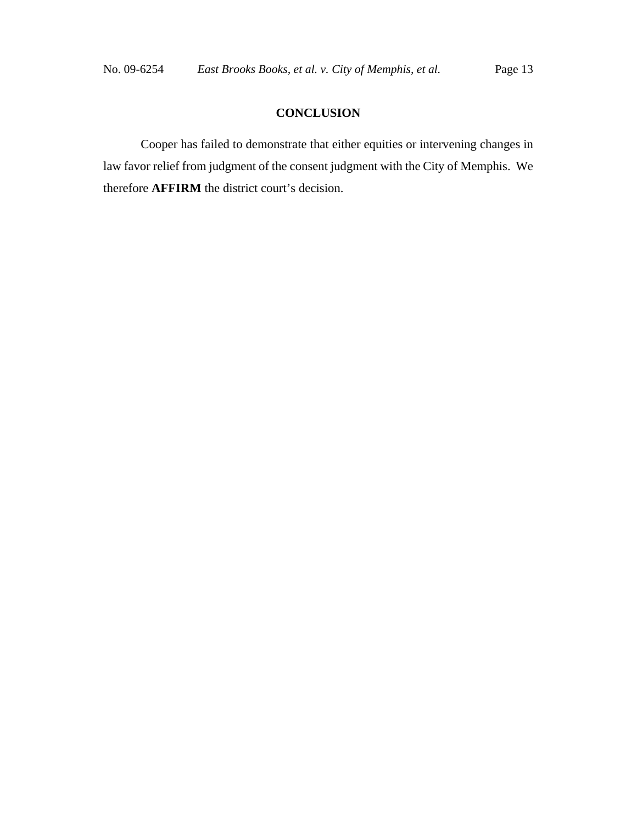## **CONCLUSION**

Cooper has failed to demonstrate that either equities or intervening changes in law favor relief from judgment of the consent judgment with the City of Memphis. We therefore **AFFIRM** the district court's decision.